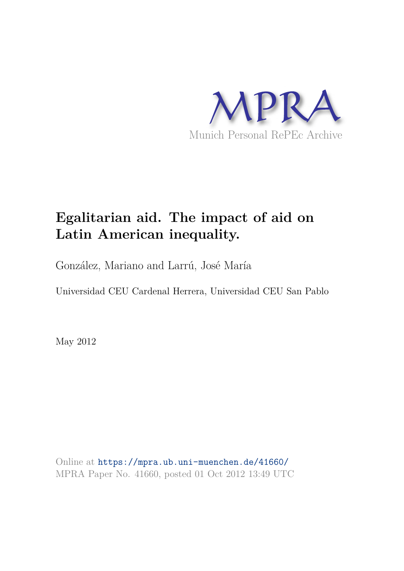

# **Egalitarian aid. The impact of aid on Latin American inequality.**

González, Mariano and Larrú, José María

Universidad CEU Cardenal Herrera, Universidad CEU San Pablo

May 2012

Online at https://mpra.ub.uni-muenchen.de/41660/ MPRA Paper No. 41660, posted 01 Oct 2012 13:49 UTC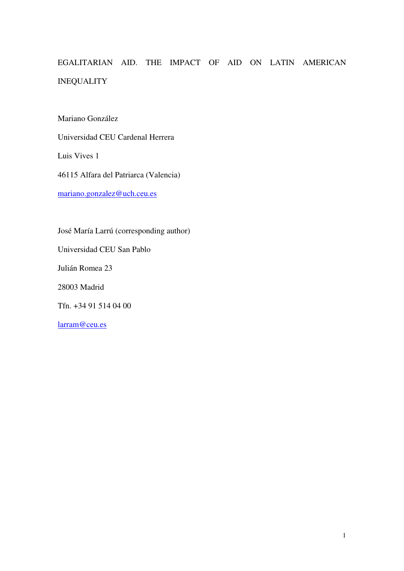## EGALITARIAN AID. THE IMPACT OF AID ON LATIN AMERICAN INEQUALITY

Mariano González

Universidad CEU Cardenal Herrera

Luis Vives 1

46115 Alfara del Patriarca (Valencia)

mariano.gonzalez@uch.ceu.es

<span id="page-1-0"></span>José María Larrú (corresponding author) Universidad CEU San Pablo Julián Romea 23 28003 Madrid Tfn. +34 91 514 04 00 [larram@ceu.es](mailto:larram@ceu.es)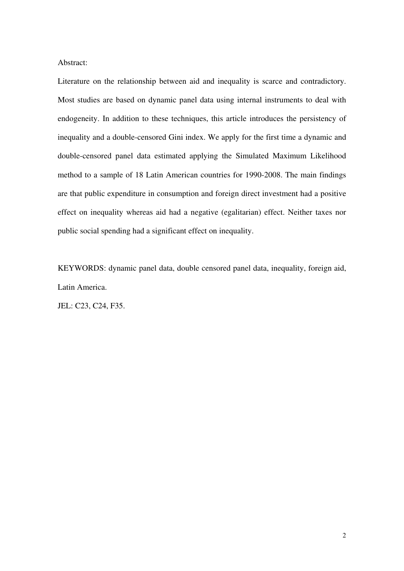Abstract:

Literature on the relationship between aid and inequality is scarce and contradictory. Most studies are based on dynamic panel data using internal instruments to deal with endogeneity. In addition to these techniques, this article introduces the persistency of inequality and a double-censored Gini index. We apply for the first time a dynamic and double-censored panel data estimated applying the Simulated Maximum Likelihood method to a sample of 18 Latin American countries for 1990-2008. The main findings are that public expenditure in consumption and foreign direct investment had a positive effect on inequality whereas aid had a negative (egalitarian) effect. Neither taxes nor public social spending had a significant effect on inequality.

KEYWORDS: dynamic panel data, double censored panel data, inequality, foreign aid, Latin America.

JEL: C23, C24, F35.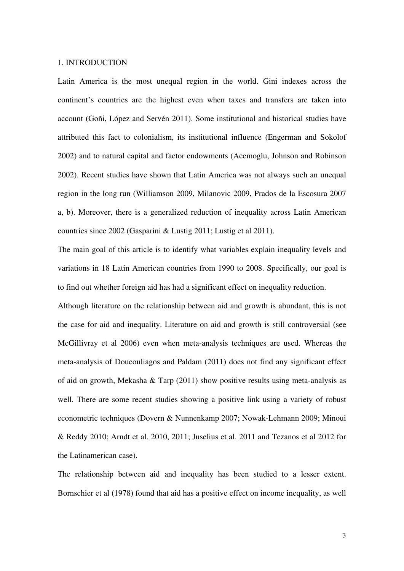#### 1. INTRODUCTION

Latin America is the most unequal region in the world. Gini indexes across the continent's countries are the highest even when taxes and transfers are taken into account (Goñi, López and Servén 2011). Some institutional and historical studies have attributed this fact to colonialism, its institutional influence (Engerman and Sokolof 2002) and to natural capital and factor endowments (Acemoglu, Johnson and Robinson 2002). Recent studies have shown that Latin America was not always such an unequal region in the long run (Williamson 2009, Milanovic 2009, Prados de la Escosura 2007 a, b). Moreover, there is a generalized reduction of inequality across Latin American countries since 2002 (Gasparini & Lustig 2011; Lustig et al 2011).

The main goal of this article is to identify what variables explain inequality levels and variations in 18 Latin American countries from 1990 to 2008. Specifically, our goal is to find out whether foreign aid has had a significant effect on inequality reduction.

Although literature on the relationship between aid and growth is abundant, this is not the case for aid and inequality. Literature on aid and growth is still controversial (see McGillivray et al 2006) even when meta-analysis techniques are used. Whereas the meta-analysis of Doucouliagos and Paldam (2011) does not find any significant effect of aid on growth, Mekasha & Tarp (2011) show positive results using meta-analysis as well. There are some recent studies showing a positive link using a variety of robust econometric techniques (Dovern & Nunnenkamp 2007; Nowak-Lehmann 2009; Minoui & Reddy 2010; Arndt et al. 2010, 2011; Juselius et al. 2011 and Tezanos et al 2012 for the Latinamerican case).

The relationship between aid and inequality has been studied to a lesser extent. Bornschier et al (1978) found that aid has a positive effect on income inequality, as well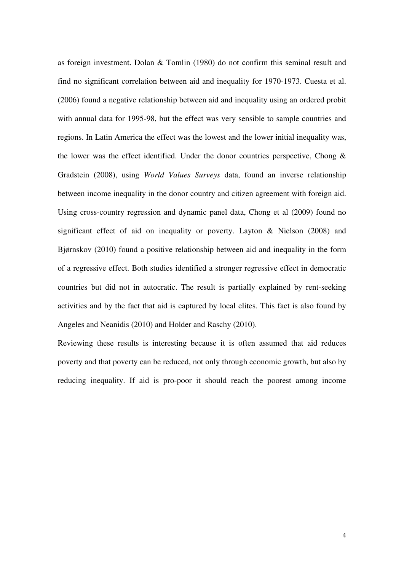as foreign investment. Dolan & Tomlin (1980) do not confirm this seminal result and find no significant correlation between aid and inequality for 1970-1973. Cuesta et al. (2006) found a negative relationship between aid and inequality using an ordered probit with annual data for 1995-98, but the effect was very sensible to sample countries and regions. In Latin America the effect was the lowest and the lower initial inequality was, the lower was the effect identified. Under the donor countries perspective, Chong  $\&$ Gradstein (2008), using *World Values Surveys* data, found an inverse relationship between income inequality in the donor country and citizen agreement with foreign aid. Using cross-country regression and dynamic panel data, Chong et al (2009) found no significant effect of aid on inequality or poverty. Layton & Nielson (2008) and Bjørnskov (2010) found a positive relationship between aid and inequality in the form of a regressive effect. Both studies identified a stronger regressive effect in democratic countries but did not in autocratic. The result is partially explained by rent-seeking activities and by the fact that aid is captured by local elites. This fact is also found by Angeles and Neanidis (2010) and Holder and Raschy (2010).

Reviewing these results is interesting because it is often assumed that aid reduces poverty and that poverty can be reduced, not only through economic growth, but also by reducing inequality. If aid is pro-poor it should reach the poorest among income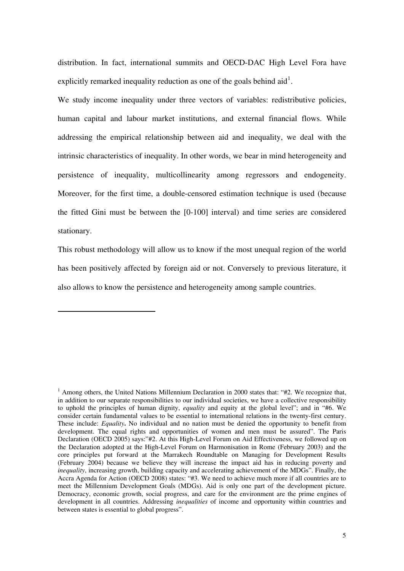distribution. In fact, international summits and OECD-DAC High Level Fora have explicitly remarked inequality reduction as one of the goals behind aid<sup>[1](#page-1-0)</sup>.

We study income inequality under three vectors of variables: redistributive policies, human capital and labour market institutions, and external financial flows. While addressing the empirical relationship between aid and inequality, we deal with the intrinsic characteristics of inequality. In other words, we bear in mind heterogeneity and persistence of inequality, multicollinearity among regressors and endogeneity. Moreover, for the first time, a double-censored estimation technique is used (because the fitted Gini must be between the [0-100] interval) and time series are considered stationary.

This robust methodology will allow us to know if the most unequal region of the world has been positively affected by foreign aid or not. Conversely to previous literature, it also allows to know the persistence and heterogeneity among sample countries.

-

<span id="page-5-0"></span><sup>&</sup>lt;sup>1</sup> Among others, the United Nations Millennium Declaration in 2000 states that: "#2. We recognize that, in addition to our separate responsibilities to our individual societies, we have a collective responsibility to uphold the principles of human dignity, *equality* and equity at the global level"; and in "#6. We consider certain fundamental values to be essential to international relations in the twenty-first century. These include: *Equality***.** No individual and no nation must be denied the opportunity to benefit from development. The equal rights and opportunities of women and men must be assured". The Paris Declaration (OECD 2005) says:"#2. At this High-Level Forum on Aid Effectiveness, we followed up on the Declaration adopted at the High-Level Forum on Harmonisation in Rome (February 2003) and the core principles put forward at the Marrakech Roundtable on Managing for Development Results (February 2004) because we believe they will increase the impact aid has in reducing poverty and *inequality*, increasing growth, building capacity and accelerating achievement of the MDGs". Finally, the Accra Agenda for Action (OECD 2008) states: "#3. We need to achieve much more if all countries are to meet the Millennium Development Goals (MDGs). Aid is only one part of the development picture. Democracy, economic growth, social progress, and care for the environment are the prime engines of development in all countries. Addressing *inequalities* of income and opportunity within countries and between states is essential to global progress".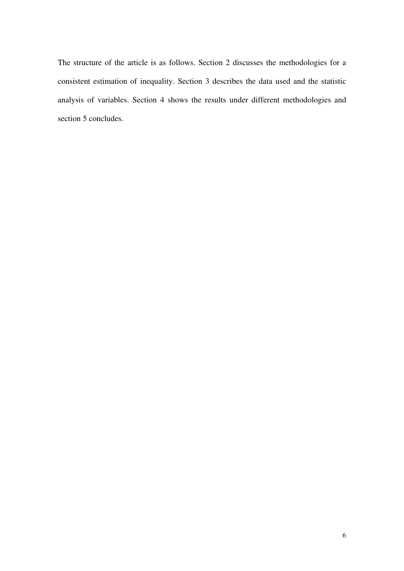The structure of the article is as follows. Section 2 discusses the methodologies for a consistent estimation of inequality. Section 3 describes the data used and the statistic analysis of variables. Section 4 shows the results under different methodologies and section 5 concludes.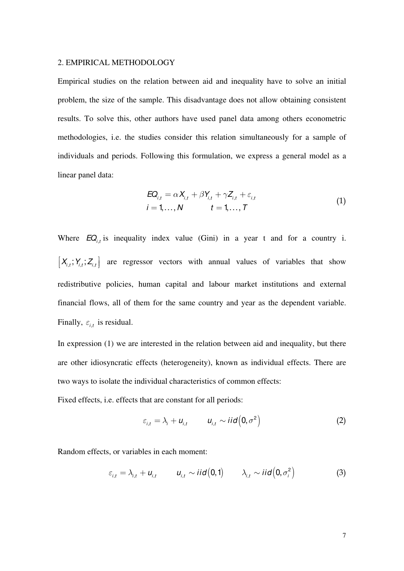#### 2. EMPIRICAL METHODOLOGY

Empirical studies on the relation between aid and inequality have to solve an initial problem, the size of the sample. This disadvantage does not allow obtaining consistent results. To solve this, other authors have used panel data among others econometric methodologies, i.e. the studies consider this relation simultaneously for a sample of individuals and periods. Following this formulation, we express a general model as a linear panel data:

$$
EQ_{i,t} = \alpha X_{i,t} + \beta Y_{i,t} + \gamma Z_{i,t} + \varepsilon_{i,t}
$$
  
\n
$$
i = 1,..., N \qquad t = 1,..., T
$$
 (1)

Where  $EQ_{i,t}$  is inequality index value (Gini) in a year t and for a country i.  $X_{i,t}$ ;  $Y_{i,t}$ ;  $Z_{i,t}$  are regressor vectors with annual values of variables that show Finally,  $\varepsilon_{i,t}$  is residual. é ê ë ù ú û redistributive policies, human capital and labour market institutions and external financial flows, all of them for the same country and year as the dependent variable.

In expression (1) we are interested in the relation between aid and inequality, but there are other idiosyncratic effects (heterogeneity), known as individual effects. There are two ways to isolate the individual characteristics of common effects:

Fixed effects, i.e. effects that are constant for all periods:

$$
\varepsilon_{i,t} = \lambda_i + u_{i,t} \qquad u_{i,t} \sim \text{iid}\left(0, \sigma^2\right) \tag{2}
$$

Random effects, or variables in each moment:

$$
\varepsilon_{i,t} = \lambda_{i,t} + u_{i,t} \qquad u_{i,t} \sim \text{iid}(0,1) \qquad \lambda_{i,t} \sim \text{iid}(0,\sigma_i^2) \tag{3}
$$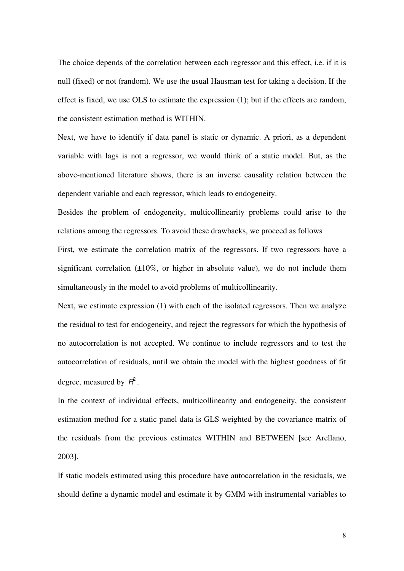The choice depends of the correlation between each regressor and this effect, i.e. if it is null (fixed) or not (random). We use the usual Hausman test for taking a decision. If the effect is fixed, we use OLS to estimate the expression (1); but if the effects are random, the consistent estimation method is WITHIN.

Next, we have to identify if data panel is static or dynamic. A priori, as a dependent variable with lags is not a regressor, we would think of a static model. But, as the above-mentioned literature shows, there is an inverse causality relation between the dependent variable and each regressor, which leads to endogeneity.

Besides the problem of endogeneity, multicollinearity problems could arise to the relations among the regressors. To avoid these drawbacks, we proceed as follows First, we estimate the correlation matrix of the regressors. If two regressors have a significant correlation  $(\pm 10\%)$ , or higher in absolute value), we do not include them simultaneously in the model to avoid problems of multicollinearity.

Next, we estimate expression (1) with each of the isolated regressors. Then we analyze the residual to test for endogeneity, and reject the regressors for which the hypothesis of no autocorrelation is not accepted. We continue to include regressors and to test the autocorrelation of residuals, until we obtain the model with the highest goodness of fit degree, measured by  $\mathbf{R}^2$ .

In the context of individual effects, multicollinearity and endogeneity, the consistent estimation method for a static panel data is GLS weighted by the covariance matrix of the residuals from the previous estimates WITHIN and BETWEEN [see Arellano, 2003].

If static models estimated using this procedure have autocorrelation in the residuals, we should define a dynamic model and estimate it by GMM with instrumental variables to

8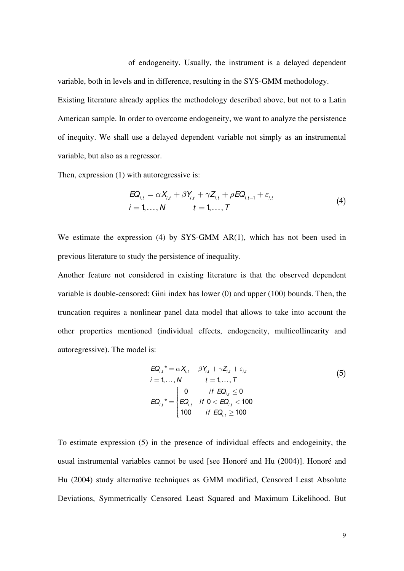of endogeneity. Usually, the instrument is a delayed dependent

Existing literature already applies the methodology described above, but not to a Latin American sample. In order to overcome endogeneity, we want to analyze the persistence of inequity. We shall use a delayed dependent variable not simply as an instrumental variable, but also as a regressor.

variable, both in levels and in difference, resulting in the SYS-GMM methodology.

Then, expression (1) with autoregressive is:

$$
EQ_{i,t} = \alpha X_{i,t} + \beta Y_{i,t} + \gamma Z_{i,t} + \rho EQ_{i,t-1} + \varepsilon_{i,t}
$$
  
\n
$$
i = 1,..., N \qquad t = 1,..., T
$$
 (4)

We estimate the expression (4) by SYS-GMM AR(1), which has not been used in previous literature to study the persistence of inequality.

Another feature not considered in existing literature is that the observed dependent variable is double-censored: Gini index has lower (0) and upper (100) bounds. Then, the truncation requires a nonlinear panel data model that allows to take into account the other properties mentioned (individual effects, endogeneity, multicollinearity and autoregressive). The model is:

$$
EQ_{i,t}^* = \alpha X_{i,t} + \beta Y_{i,t} + \gamma Z_{i,t} + \varepsilon_{i,t}
$$
  
\n
$$
i = 1,..., N \qquad t = 1,..., T
$$
  
\n
$$
EQ_{i,t}^* = \begin{cases} 0 & \text{if } EQ_{i,t} \le 0 \\ EQ_{i,t} & \text{if } 0 < EQ_{i,t} < 100 \\ 100 & \text{if } EQ_{i,t} \ge 100 \end{cases}
$$
  
\n(5)

To estimate expression (5) in the presence of individual effects and endogeinity, the usual instrumental variables cannot be used [see Honoré and Hu (2004)]. Honoré and Hu (2004) study alternative techniques as GMM modified, Censored Least Absolute Deviations, Symmetrically Censored Least Squared and Maximum Likelihood. But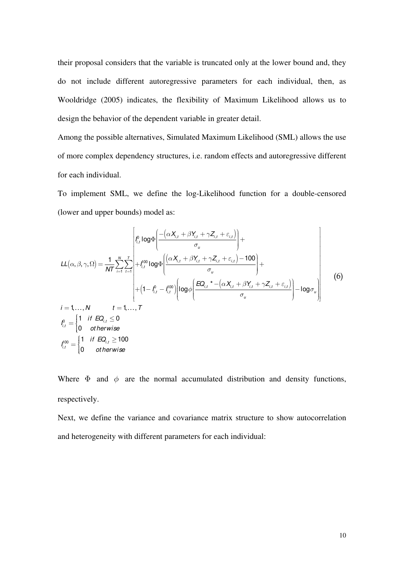their proposal considers that the variable is truncated only at the lower bound and, they do not include different autoregressive parameters for each individual, then, as Wooldridge (2005) indicates, the flexibility of Maximum Likelihood allows us to design the behavior of the dependent variable in greater detail.

Among the possible alternatives, Simulated Maximum Likelihood (SML) allows the use of more complex dependency structures, i.e. random effects and autoregressive different for each individual.

To implement SML, we define the log-Likelihood function for a double-censored (lower and upper bounds) model as:

$$
LL(\alpha, \beta, \gamma, \Omega) = \frac{1}{NT} \sum_{i=1}^{N} \sum_{t=1}^{T} \begin{bmatrix} \int_{i,t}^{0} \log \Phi \bigg( \frac{-\left(\alpha X_{i,t} + \beta Y_{i,t} + \gamma Z_{i,t} + \varepsilon_{i,t}\right)}{\sigma_{u}} \bigg) + \\ + \int_{i,t}^{100} \log \Phi \bigg( \frac{\left(\alpha X_{i,t} + \beta Y_{i,t} + \gamma Z_{i,t} + \varepsilon_{i,t}\right) - 100}{\sigma_{u}} \bigg) + \\ + \left(1 - \int_{i,t}^{0} - \int_{i,t}^{100} \left| \log \phi \bigg( \frac{EQ_{i,t} + \beta Y_{i,t} + \beta Y_{i,t} + \gamma Z_{i,t} + \varepsilon_{i,t}}{\sigma_{u}} \bigg) - \log \sigma_{u} \right| \right) \end{bmatrix}
$$
(6)  
\n
$$
i = 1,..., N \qquad t = 1,..., T
$$
\n
$$
\int_{i,t}^{0} = \begin{cases} 1 & \text{if } EQ_{i,t} \le 0 \\ 0 & \text{otherwise} \end{cases}
$$
\n
$$
\int_{i,t}^{100} = \begin{cases} 1 & \text{if } EQ_{i,t} \ge 100 \\ 0 & \text{otherwise} \end{cases}
$$

Where  $\Phi$  and  $\phi$  are the normal accumulated distribution and density functions, respectively.

Next, we define the variance and covariance matrix structure to show autocorrelation and heterogeneity with different parameters for each individual: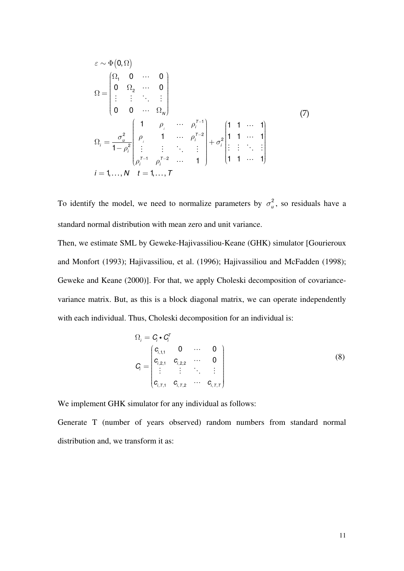$$
\varepsilon \sim \Phi(0, \Omega)
$$
\n
$$
\Omega = \begin{pmatrix}\n\Omega_1 & 0 & \cdots & 0 \\
0 & \Omega_2 & \cdots & 0 \\
\vdots & \vdots & \ddots & \vdots \\
0 & 0 & \cdots & \Omega_N\n\end{pmatrix}
$$
\n
$$
\Omega_i = \frac{\sigma_u^2}{1 - \rho_i^2} \begin{pmatrix}\n1 & \rho_i & \cdots & \rho_i^{T-1} \\
\rho_i & 1 & \cdots & \rho_i^{T-2} \\
\vdots & \vdots & \ddots & \vdots \\
\rho_i^{T-1} & \rho_i^{T-2} & \cdots & 1\n\end{pmatrix} + \sigma_i^2 \begin{pmatrix}\n1 & 1 & \cdots & 1 \\
1 & 1 & \cdots & 1 \\
\vdots & \vdots & \ddots & \vdots \\
1 & 1 & \cdots & 1\n\end{pmatrix}
$$
\n
$$
i = 1, \dots, N \quad t = 1, \dots, T
$$
\n(7)

To identify the model, we need to normalize parameters by  $\sigma_u^2$ , so residuals have a standard normal distribution with mean zero and unit variance.

Then, we estimate SML by Geweke-Hajivassiliou-Keane (GHK) simulator [Gourieroux and Monfort (1993); Hajivassiliou, et al. (1996); Hajivassiliou and McFadden (1998); Geweke and Keane (2000)]. For that, we apply Choleski decomposition of covariancevariance matrix. But, as this is a block diagonal matrix, we can operate independently with each individual. Thus, Choleski decomposition for an individual is:

$$
\Omega_{i} = C_{i} \cdot C_{i}^{T}
$$
\n
$$
C_{i} = \begin{pmatrix} c_{i,1,1} & 0 & \cdots & 0 \\ c_{i,2,1} & c_{i,2,2} & \cdots & 0 \\ \vdots & \vdots & \ddots & \vdots \\ c_{i,T,1} & c_{i,T,2} & \cdots & c_{i,T,T} \end{pmatrix}
$$
\n(8)

We implement GHK simulator for any individual as follows:

Generate T (number of years observed) random numbers from standard normal distribution and, we transform it as: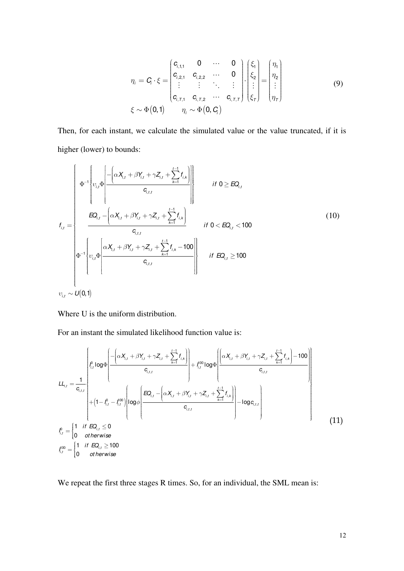$$
\eta_{i} = C_{i} \cdot \xi = \begin{pmatrix} c_{i,1,1} & 0 & \cdots & 0 \\ c_{i,2,1} & c_{i,2,2} & \cdots & 0 \\ \vdots & \vdots & \ddots & \vdots \\ c_{i,T,1} & c_{i,T,2} & \cdots & c_{i,T,T} \end{pmatrix} \cdot \begin{pmatrix} \xi_{1} \\ \xi_{2} \\ \vdots \\ \xi_{T} \end{pmatrix} = \begin{pmatrix} \eta_{1} \\ \eta_{2} \\ \vdots \\ \eta_{T} \end{pmatrix}
$$
(9)  

$$
\xi \sim \Phi(0,1) \qquad \eta_{i} \sim \Phi(0, C_{i})
$$

Then, for each instant, we calculate the simulated value or the value truncated, if it is higher (lower) to bounds:

$$
f_{i,t} = \begin{cases} \n\Phi^{-1} \left\{ v_{i,t} \Phi \left[ \frac{-\left( \alpha X_{i,t} + \beta Y_{i,t} + \gamma Z_{i,t} + \sum_{k=1}^{t-1} f_{i,k} \right)}{c_{i,t,t}} \right] & \text{if } 0 \geq EQ_{i,t} \\
\frac{EQ_{i,t} - \left( \alpha X_{i,t} + \beta Y_{i,t} + \gamma Z_{i,t} + \sum_{k=1}^{t-1} f_{i,k} \right)}{c_{i,t,t}} & \text{if } 0 < EQ_{i,t} < 100 \\
\Phi^{-1} \left\{ v_{i,t} \Phi \left[ \frac{\alpha X_{i,t} + \beta Y_{i,t} + \gamma Z_{i,t} + \sum_{k=1}^{t-1} f_{i,k} - 100}{c_{i,t,t}} \right] & \text{if } EQ_{i,t} \geq 100\n\end{cases} \tag{10}
$$

Where U is the uniform distribution.

For an instant the simulated likelihood function value is:

$$
LL_{i,t} = \frac{1}{c_{i,t,t}} \begin{bmatrix} \int_{t_{i,t}}^{0} \log \Phi \left( \frac{-\left(\alpha X_{i,t} + \beta Y_{i,t} + \gamma Z_{i,t} + \sum_{k=1}^{t-1} f_{i,k}\right)}{c_{i,t,t}} \right) + \int_{t_{i,t}}^{0.0} \log \Phi \left( \frac{\left(\alpha X_{i,t} + \beta Y_{i,t} + \gamma Z_{i,t} + \sum_{k=1}^{t-1} f_{i,k}\right) - 100}{c_{i,t,t}} \right) + \left(1 - \int_{t_{i,t}}^{0.0} - \int_{t_{i,t}}^{0.0} \log \Phi \left( \frac{EQ_{i,t} - \left(\alpha X_{i,t} + \beta Y_{i,t} + \gamma Z_{i,t} + \sum_{k=1}^{t-1} f_{i,k}\right)}{c_{i,t,t}} \right) - log c_{i,t,t} \right) \right)
$$
\n
$$
f_{i,t}^{0.0} = \begin{bmatrix} 1 & \text{if } EQ_{i,t} \le 0 \\ 0 & \text{otherwise} \end{bmatrix}
$$
\n
$$
I_{i,t}^{100} = \begin{bmatrix} 1 & \text{if } EQ_{i,t} \ge 100 \\ 0 & \text{otherwise} \end{bmatrix}
$$
\n(11)

We repeat the first three stages R times. So, for an individual, the SML mean is: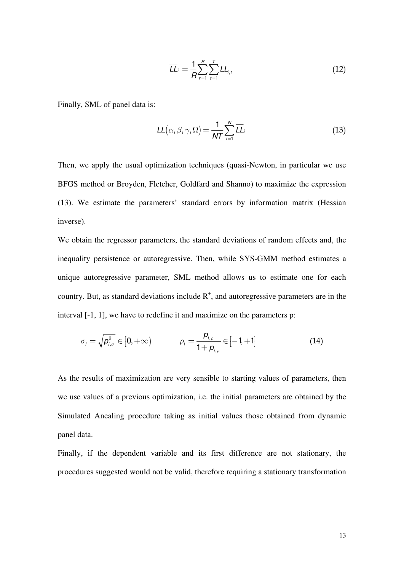$$
\overline{LL}_{i} = \frac{1}{R} \sum_{r=1}^{R} \sum_{t=1}^{T} LL_{i,t}
$$
\n(12)

Finally, SML of panel data is:

$$
LL(\alpha, \beta, \gamma, \Omega) = \frac{1}{NT} \sum_{i=1}^{N} \overline{LL}_{i}
$$
\n(13)

Then, we apply the usual optimization techniques (quasi-Newton, in particular we use BFGS method or Broyden, Fletcher, Goldfard and Shanno) to maximize the expression (13). We estimate the parameters' standard errors by information matrix (Hessian inverse).

We obtain the regressor parameters, the standard deviations of random effects and, the inequality persistence or autoregressive. Then, while SYS-GMM method estimates a unique autoregressive parameter, SML method allows us to estimate one for each country. But, as standard deviations include  $R^+$ , and autoregressive parameters are in the interval [-1, 1], we have to redefine it and maximize on the parameters p:

$$
\sigma_{i} = \sqrt{p_{i,\sigma}^{2}} \in [0, +\infty) \qquad \rho_{i} = \frac{p_{i,\rho}}{1 + p_{i,\rho}} \in [-1, +1] \qquad (14)
$$

As the results of maximization are very sensible to starting values of parameters, then we use values of a previous optimization, i.e. the initial parameters are obtained by the Simulated Anealing procedure taking as initial values those obtained from dynamic panel data.

Finally, if the dependent variable and its first difference are not stationary, the procedures suggested would not be valid, therefore requiring a stationary transformation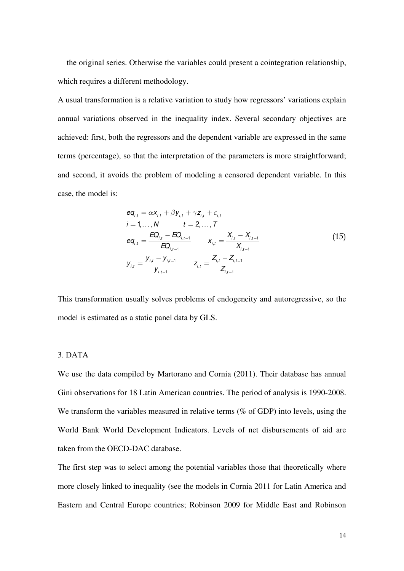the original series. Otherwise the variables could present a cointegration relationship, which requires a different methodology.

A usual transformation is a relative variation to study how regressors' variations explain annual variations observed in the inequality index. Several secondary objectives are achieved: first, both the regressors and the dependent variable are expressed in the same terms (percentage), so that the interpretation of the parameters is more straightforward; and second, it avoids the problem of modeling a censored dependent variable. In this case, the model is:

$$
eq_{i,t} = \alpha x_{i,t} + \beta y_{i,t} + \gamma z_{i,t} + \varepsilon_{i,t}
$$
  
\n
$$
i = 1,..., N \qquad t = 2,..., T
$$
  
\n
$$
eq_{i,t} = \frac{EQ_{i,t} - EQ_{i,t-1}}{EQ_{i,t-1}} \qquad x_{i,t} = \frac{X_{i,t} - X_{i,t-1}}{X_{i,t-1}}
$$
  
\n
$$
y_{i,t} = \frac{y_{i,t} - y_{i,t-1}}{y_{i,t-1}} \qquad z_{i,t} = \frac{Z_{i,t} - Z_{i,t-1}}{Z_{i,t-1}}
$$
  
\n(15)

This transformation usually solves problems of endogeneity and autoregressive, so the model is estimated as a static panel data by GLS.

#### 3. DATA

We use the data compiled by Martorano and Cornia (2011). Their database has annual Gini observations for 18 Latin American countries. The period of analysis is 1990-2008. We transform the variables measured in relative terms (% of GDP) into levels, using the World Bank World Development Indicators. Levels of net disbursements of aid are taken from the OECD-DAC database.

The first step was to select among the potential variables those that theoretically where more closely linked to inequality (see the models in Cornia 2011 for Latin America and Eastern and Central Europe countries; Robinson 2009 for Middle East and Robinson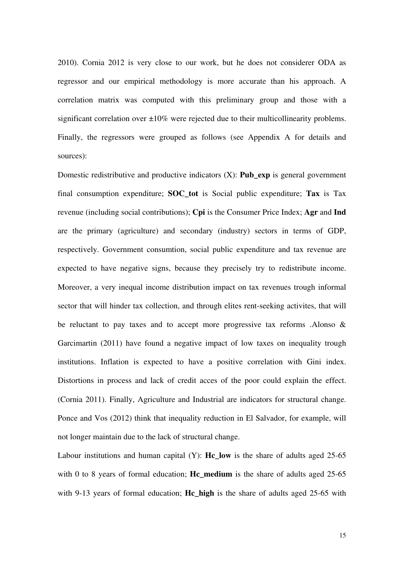2010). Cornia 2012 is very close to our work, but he does not considerer ODA as regressor and our empirical methodology is more accurate than his approach. A correlation matrix was computed with this preliminary group and those with a significant correlation over  $\pm 10\%$  were rejected due to their multicollinearity problems. Finally, the regressors were grouped as follows (see Appendix A for details and sources):

Domestic redistributive and productive indicators (X): **Pub\_exp** is general government final consumption expenditure; **SOC\_tot** is Social public expenditure; **Tax** is Tax revenue (including social contributions); **Cpi** is the Consumer Price Index; **Agr** and **Ind** are the primary (agriculture) and secondary (industry) sectors in terms of GDP, respectively. Government consumtion, social public expenditure and tax revenue are expected to have negative signs, because they precisely try to redistribute income. Moreover, a very inequal income distribution impact on tax revenues trough informal sector that will hinder tax collection, and through elites rent-seeking activites, that will be reluctant to pay taxes and to accept more progressive tax reforms .Alonso & Garcimartin (2011) have found a negative impact of low taxes on inequality trough institutions. Inflation is expected to have a positive correlation with Gini index. Distortions in process and lack of credit acces of the poor could explain the effect. (Cornia 2011). Finally, Agriculture and Industrial are indicators for structural change. Ponce and Vos (2012) think that inequality reduction in El Salvador, for example, will not longer maintain due to the lack of structural change.

Labour institutions and human capital (Y): **Hc\_low** is the share of adults aged 25-65 with 0 to 8 years of formal education; **Hc\_medium** is the share of adults aged 25-65 with 9-13 years of formal education; **Hc\_high** is the share of adults aged 25-65 with

15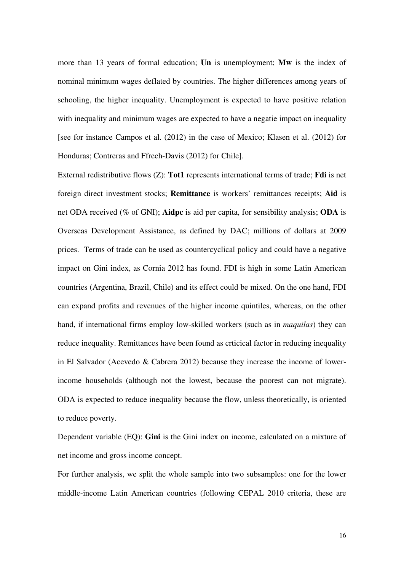more than 13 years of formal education; **Un** is unemployment; **Mw** is the index of nominal minimum wages deflated by countries. The higher differences among years of schooling, the higher inequality. Unemployment is expected to have positive relation with inequality and minimum wages are expected to have a negatie impact on inequality [see for instance Campos et al. (2012) in the case of Mexico; Klasen et al. (2012) for Honduras; Contreras and Ffrech-Davis (2012) for Chile].

External redistributive flows (Z): **Tot1** represents international terms of trade; **Fdi** is net foreign direct investment stocks; **Remittance** is workers' remittances receipts; **Aid** is net ODA received (% of GNI); **Aidpc** is aid per capita, for sensibility analysis; **ODA** is Overseas Development Assistance, as defined by DAC; millions of dollars at 2009 prices. Terms of trade can be used as countercyclical policy and could have a negative impact on Gini index, as Cornia 2012 has found. FDI is high in some Latin American countries (Argentina, Brazil, Chile) and its effect could be mixed. On the one hand, FDI can expand profits and revenues of the higher income quintiles, whereas, on the other hand, if international firms employ low-skilled workers (such as in *maquilas*) they can reduce inequality. Remittances have been found as crticical factor in reducing inequality in El Salvador (Acevedo & Cabrera 2012) because they increase the income of lowerincome households (although not the lowest, because the poorest can not migrate). ODA is expected to reduce inequality because the flow, unless theoretically, is oriented to reduce poverty.

Dependent variable (EQ): **Gini** is the Gini index on income, calculated on a mixture of net income and gross income concept.

For further analysis, we split the whole sample into two subsamples: one for the lower middle-income Latin American countries (following CEPAL 2010 criteria, these are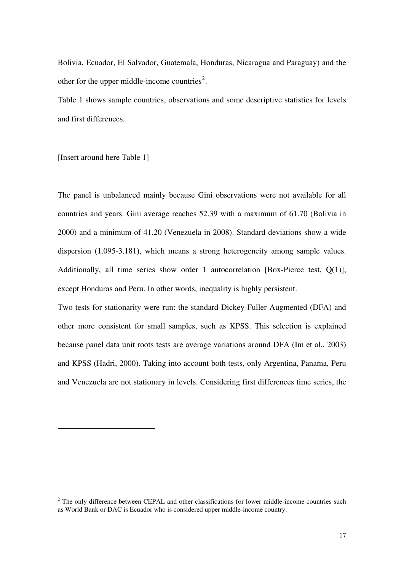Bolivia, Ecuador, El Salvador, Guatemala, Honduras, Nicaragua and Paraguay) and the other for the upper middle-income countries<sup>[2](#page-5-0)</sup>.

Table 1 shows sample countries, observations and some descriptive statistics for levels and first differences.

[Insert around here Table 1]

-

The panel is unbalanced mainly because Gini observations were not available for all countries and years. Gini average reaches 52.39 with a maximum of 61.70 (Bolivia in 2000) and a minimum of 41.20 (Venezuela in 2008). Standard deviations show a wide dispersion (1.095-3.181), which means a strong heterogeneity among sample values. Additionally, all time series show order 1 autocorrelation [Box-Pierce test, Q(1)], except Honduras and Peru. In other words, inequality is highly persistent.

Two tests for stationarity were run: the standard Dickey-Fuller Augmented (DFA) and other more consistent for small samples, such as KPSS. This selection is explained because panel data unit roots tests are average variations around DFA (Im et al., 2003) and KPSS (Hadri, 2000). Taking into account both tests, only Argentina, Panama, Peru and Venezuela are not stationary in levels. Considering first differences time series, the

 $2$  The only difference between CEPAL and other classifications for lower middle-income countries such as World Bank or DAC is Ecuador who is considered upper middle-income country.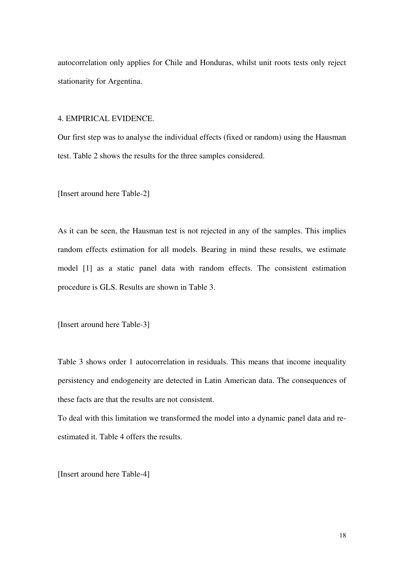autocorrelation only applies for Chile and Honduras, whilst unit roots tests only reject stationarity for Argentina.

4. EMPIRICAL EVIDENCE.

Our first step was to analyse the individual effects (fixed or random) using the Hausman test. Table 2 shows the results for the three samples considered.

[Insert around here Table-2]

As it can be seen, the Hausman test is not rejected in any of the samples. This implies random effects estimation for all models. Bearing in mind these results, we estimate model [1] as a static panel data with random effects. The consistent estimation procedure is GLS. Results are shown in Table 3.

[Insert around here Table-3]

Table 3 shows order 1 autocorrelation in residuals. This means that income inequality persistency and endogeneity are detected in Latin American data. The consequences of these facts are that the results are not consistent.

To deal with this limitation we transformed the model into a dynamic panel data and reestimated it. Table 4 offers the results.

[Insert around here Table-4]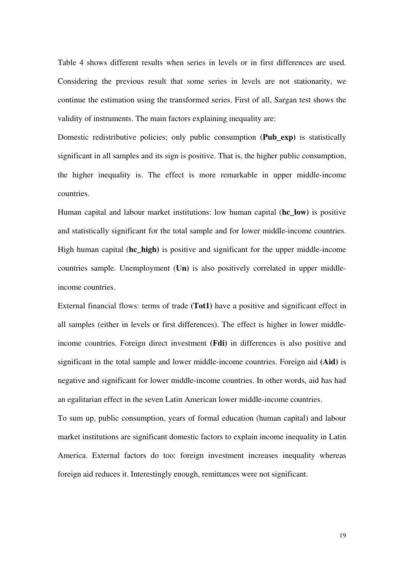Table 4 shows different results when series in levels or in first differences are used. Considering the previous result that some series in levels are not stationarity, we continue the estimation using the transformed series. First of all, Sargan test shows the validity of instruments. The main factors explaining inequality are:

Domestic redistributive policies; only public consumption (**Pub\_exp)** is statistically significant in all samples and its sign is positive. That is, the higher public consumption, the higher inequality is. The effect is more remarkable in upper middle-income countries.

Human capital and labour market institutions: low human capital (**hc\_low)** is positive and statistically significant for the total sample and for lower middle-income countries. High human capital (**hc\_high)** is positive and significant for the upper middle-income countries sample. Unemployment (**Un)** is also positively correlated in upper middleincome countries.

External financial flows: terms of trade **(Tot1)** have a positive and significant effect in all samples (either in levels or first differences). The effect is higher in lower middleincome countries. Foreign direct investment **(Fdi)** in differences is also positive and significant in the total sample and lower middle-income countries. Foreign aid **(Aid)** is negative and significant for lower middle-income countries. In other words, aid has had an egalitarian effect in the seven Latin American lower middle-income countries.

To sum up, public consumption, years of formal education (human capital) and labour market institutions are significant domestic factors to explain income inequality in Latin America. External factors do too: foreign investment increases inequality whereas foreign aid reduces it. Interestingly enough, remittances were not significant.

19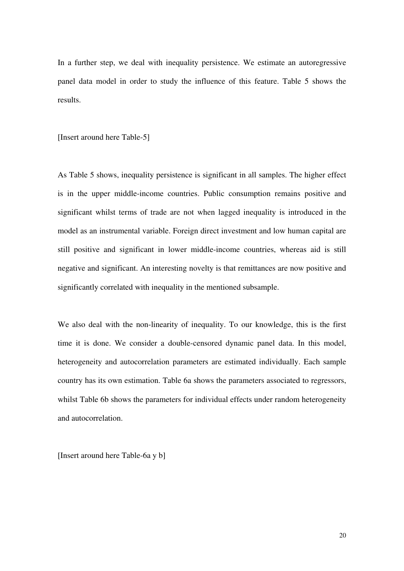In a further step, we deal with inequality persistence. We estimate an autoregressive panel data model in order to study the influence of this feature. Table 5 shows the results.

[Insert around here Table-5]

As Table 5 shows, inequality persistence is significant in all samples. The higher effect is in the upper middle-income countries. Public consumption remains positive and significant whilst terms of trade are not when lagged inequality is introduced in the model as an instrumental variable. Foreign direct investment and low human capital are still positive and significant in lower middle-income countries, whereas aid is still negative and significant. An interesting novelty is that remittances are now positive and significantly correlated with inequality in the mentioned subsample.

We also deal with the non-linearity of inequality. To our knowledge, this is the first time it is done. We consider a double-censored dynamic panel data. In this model, heterogeneity and autocorrelation parameters are estimated individually. Each sample country has its own estimation. Table 6a shows the parameters associated to regressors, whilst Table 6b shows the parameters for individual effects under random heterogeneity and autocorrelation.

[Insert around here Table-6a y b]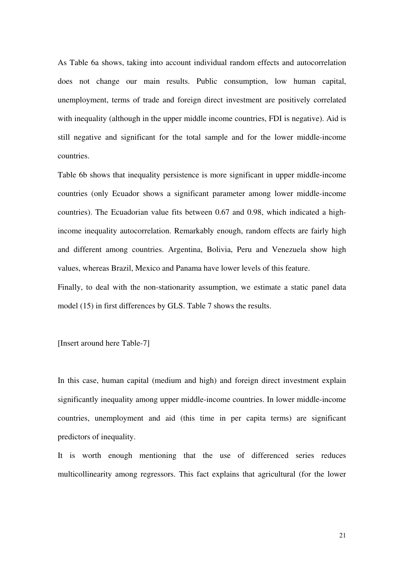As Table 6a shows, taking into account individual random effects and autocorrelation does not change our main results. Public consumption, low human capital, unemployment, terms of trade and foreign direct investment are positively correlated with inequality (although in the upper middle income countries, FDI is negative). Aid is still negative and significant for the total sample and for the lower middle-income countries.

Table 6b shows that inequality persistence is more significant in upper middle-income countries (only Ecuador shows a significant parameter among lower middle-income countries). The Ecuadorian value fits between 0.67 and 0.98, which indicated a highincome inequality autocorrelation. Remarkably enough, random effects are fairly high and different among countries. Argentina, Bolivia, Peru and Venezuela show high values, whereas Brazil, Mexico and Panama have lower levels of this feature.

Finally, to deal with the non-stationarity assumption, we estimate a static panel data model (15) in first differences by GLS. Table 7 shows the results.

[Insert around here Table-7]

In this case, human capital (medium and high) and foreign direct investment explain significantly inequality among upper middle-income countries. In lower middle-income countries, unemployment and aid (this time in per capita terms) are significant predictors of inequality.

It is worth enough mentioning that the use of differenced series reduces multicollinearity among regressors. This fact explains that agricultural (for the lower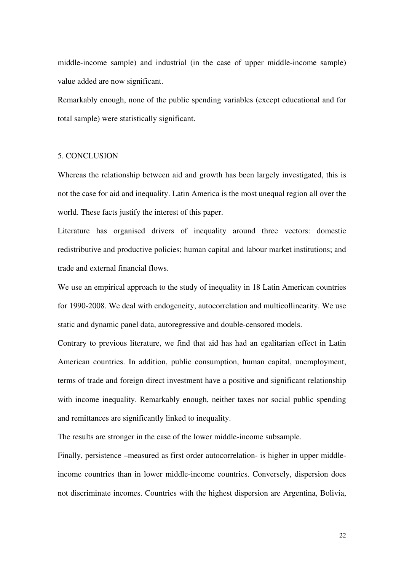middle-income sample) and industrial (in the case of upper middle-income sample) value added are now significant.

Remarkably enough, none of the public spending variables (except educational and for total sample) were statistically significant.

#### 5. CONCLUSION

Whereas the relationship between aid and growth has been largely investigated, this is not the case for aid and inequality. Latin America is the most unequal region all over the world. These facts justify the interest of this paper.

Literature has organised drivers of inequality around three vectors: domestic redistributive and productive policies; human capital and labour market institutions; and trade and external financial flows.

We use an empirical approach to the study of inequality in 18 Latin American countries for 1990-2008. We deal with endogeneity, autocorrelation and multicollinearity. We use static and dynamic panel data, autoregressive and double-censored models.

Contrary to previous literature, we find that aid has had an egalitarian effect in Latin American countries. In addition, public consumption, human capital, unemployment, terms of trade and foreign direct investment have a positive and significant relationship with income inequality. Remarkably enough, neither taxes nor social public spending and remittances are significantly linked to inequality.

The results are stronger in the case of the lower middle-income subsample.

Finally, persistence –measured as first order autocorrelation- is higher in upper middleincome countries than in lower middle-income countries. Conversely, dispersion does not discriminate incomes. Countries with the highest dispersion are Argentina, Bolivia,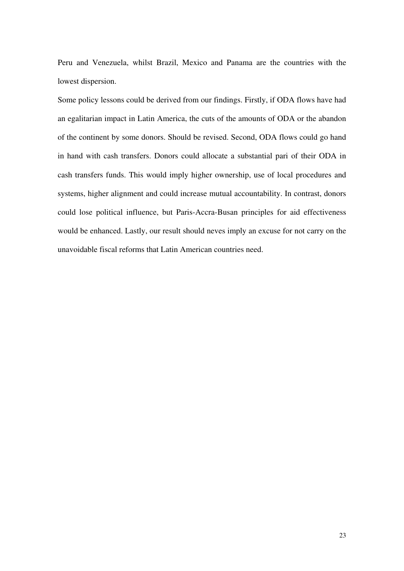Peru and Venezuela, whilst Brazil, Mexico and Panama are the countries with the lowest dispersion.

Some policy lessons could be derived from our findings. Firstly, if ODA flows have had an egalitarian impact in Latin America, the cuts of the amounts of ODA or the abandon of the continent by some donors. Should be revised. Second, ODA flows could go hand in hand with cash transfers. Donors could allocate a substantial pari of their ODA in cash transfers funds. This would imply higher ownership, use of local procedures and systems, higher alignment and could increase mutual accountability. In contrast, donors could lose political influence, but Paris-Accra-Busan principles for aid effectiveness would be enhanced. Lastly, our result should neves imply an excuse for not carry on the unavoidable fiscal reforms that Latin American countries need.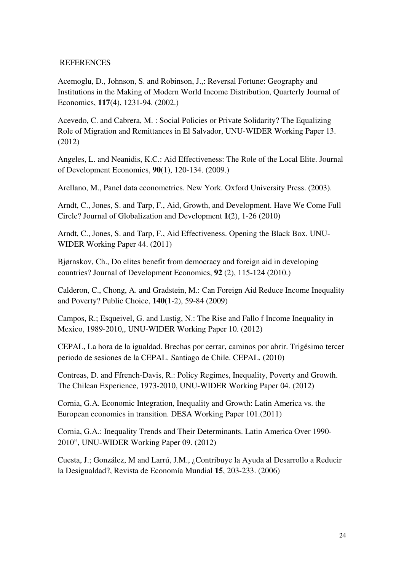#### REFERENCES

Acemoglu, D., Johnson, S. and Robinson, J.,: Reversal Fortune: Geography and Institutions in the Making of Modern World Income Distribution, Quarterly Journal of Economics, **117**(4), 1231-94. (2002.)

Acevedo, C. and Cabrera, M. : Social Policies or Private Solidarity? The Equalizing Role of Migration and Remittances in El Salvador, UNU-WIDER Working Paper 13. (2012)

Angeles, L. and Neanidis, K.C.: Aid Effectiveness: The Role of the Local Elite. Journal of Development Economics, **90**(1), 120-134. (2009.)

Arellano, M., Panel data econometrics. New York. Oxford University Press. (2003).

Arndt, C., Jones, S. and Tarp, F., Aid, Growth, and Development. Have We Come Full Circle? Journal of Globalization and Development **1(**2), 1-26 (2010)

Arndt, C., Jones, S. and Tarp, F., Aid Effectiveness. Opening the Black Box. UNU-WIDER Working Paper 44. (2011)

Bjørnskov, Ch., Do elites benefit from democracy and foreign aid in developing countries? [Journal of Development Economics,](http://www.sciencedirect.com/science/journal/03043878) **92** [\(2\)](http://www.sciencedirect.com/science?_ob=PublicationURL&_tockey=%23TOC%235936%232010%23999079997%231869729%23FLA%23&_cdi=5936&_pubType=J&view=c&_auth=y&_acct=C000054717&_version=1&_urlVersion=0&_userid=1807425&md5=664b4b06cd70faf7d8f2de546640f3f5), 115-124 (2010.)

Calderon, C., Chong, A. and Gradstein, M.: Can Foreign Aid Reduce Income Inequality and Poverty? Public Choice, **140(**1-2), 59-84 (2009)

Campos, R.; Esqueivel, G. and Lustig, N.: The Rise and Fallo f Income Inequality in Mexico, 1989-2010,, UNU-WIDER Working Paper 10. (2012)

CEPAL, La hora de la igualdad. Brechas por cerrar, caminos por abrir. Trigésimo tercer periodo de sesiones de la CEPAL. Santiago de Chile. CEPAL. (2010)

Contreas, D. and Ffrench-Davis, R.: Policy Regimes, Inequality, Poverty and Growth. The Chilean Experience, 1973-2010, UNU-WIDER Working Paper 04. (2012)

Cornia, G.A. Economic Integration, Inequality and Growth: Latin America vs. the European economies in transition. DESA Working Paper 101.(2011)

Cornia, G.A.: Inequality Trends and Their Determinants. Latin America Over 1990- 2010", UNU-WIDER Working Paper 09. (2012)

Cuesta, J.; González, M and Larrú, J.M., ¿Contribuye la Ayuda al Desarrollo a Reducir la Desigualdad?, Revista de Economía Mundial **15**, 203-233. (2006)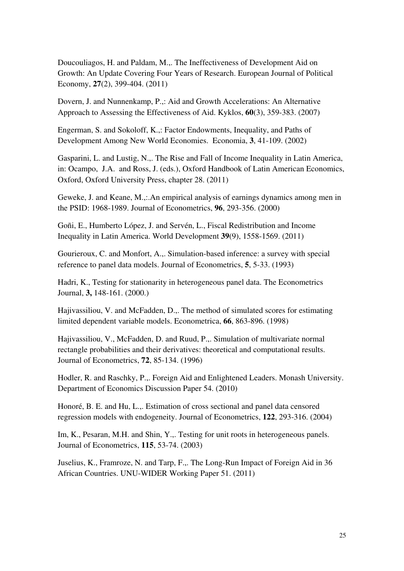Doucouliagos, H. and Paldam, M.,. The Ineffectiveness of Development Aid on Growth: An Update Covering Four Years of Research. European Journal of Political Economy, **27**(2), 399-404. (2011)

Dovern, J. and Nunnenkamp, P.,: Aid and Growth Accelerations: An Alternative Approach to Assessing the Effectiveness of Aid. Kyklos, **60**(3), 359-383. (2007)

Engerman, S. and Sokoloff, K.,: Factor Endowments, Inequality, and Paths of Development Among New World Economies. Economia, **3**, 41-109. (2002)

Gasparini, L. and Lustig, N.,. The Rise and Fall of Income Inequality in Latin America, in: Ocampo, J.A. and Ross, J. (eds.), Oxford Handbook of Latin American Economics, Oxford, Oxford University Press, chapter 28. (2011)

Geweke, J. and Keane, M.,:.An empirical analysis of earnings dynamics among men in the PSID: 1968-1989. Journal of Econometrics, **96**, 293-356. (2000)

Goñi, E., Humberto López, J. and Servén, L., Fiscal Redistribution and Income Inequality in Latin America. World Development **39**(9), 1558-1569. (2011)

Gourieroux, C. and Monfort, A.,. Simulation-based inference: a survey with special reference to panel data models. Journal of Econometrics, **5**, 5-33. (1993)

Hadri, K., Testing for stationarity in heterogeneous panel data. The Econometrics Journal, **3,** 148-161. (2000.)

Hajivassiliou, V. and McFadden, D.,. The method of simulated scores for estimating limited dependent variable models. Econometrica, **66**, 863-896. (1998)

Hajivassiliou, V., McFadden, D. and Ruud, P.,. Simulation of multivariate normal rectangle probabilities and their derivatives: theoretical and computational results. Journal of Econometrics, **72**, 85-134. (1996)

Hodler, R. and Raschky, P.,. Foreign Aid and Enlightened Leaders. Monash University. Department of Economics Discussion Paper 54. (2010)

Honoré, B. E. and Hu, L.,. Estimation of cross sectional and panel data censored regression models with endogeneity. Journal of Econometrics, **122**, 293-316. (2004)

Im, K., Pesaran, M.H. and Shin, Y.,. Testing for unit roots in heterogeneous panels. Journal of Econometrics, **115**, 53-74. (2003)

Juselius, K., Framroze, N. and Tarp, F.,. The Long-Run Impact of Foreign Aid in 36 African Countries. UNU-WIDER Working Paper 51. (2011)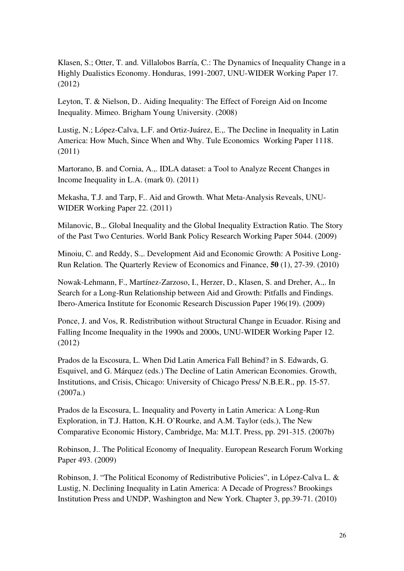Klasen, S.; Otter, T. and. Villalobos Barría, C.: The Dynamics of Inequality Change in a Highly Dualistics Economy. Honduras, 1991-2007, UNU-WIDER Working Paper 17. (2012)

Leyton, T. & Nielson, D.. Aiding Inequality: The Effect of Foreign Aid on Income Inequality. Mimeo. Brigham Young University. (2008)

Lustig, N.; López-Calva, L.F. and Ortiz-Juárez, E.,. The Decline in Inequality in Latin America: How Much, Since When and Why. Tule Economics Working Paper 1118. (2011)

Martorano, B. and Cornia, A.,. IDLA dataset: a Tool to Analyze Recent Changes in Income Inequality in L.A. (mark 0). (2011)

Mekasha, T.J. and Tarp, F.. Aid and Growth. What Meta-Analysis Reveals, UNU-WIDER Working Paper 22. (2011)

Milanovic, B.,. Global Inequality and the Global Inequality Extraction Ratio. The Story of the Past Two Centuries. World Bank Policy Research Working Paper 5044. (2009)

Minoiu, C. and Reddy, S.,. Development Aid and Economic Growth: A Positive Long-Run Relation. [The Quarterly Review of Economics and Finance,](http://econpapers.repec.org/article/eeequaeco/) **50** (1), 27-39. (2010)

Nowak-Lehmann, F., Martínez-Zarzoso, I., Herzer, D., Klasen, S. and Dreher, A.,. In Search for a Long-Run Relationship between Aid and Growth: Pitfalls and Findings. Ibero-America Institute for Economic Research Discussion Paper 196(19). (2009)

Ponce, J. and Vos, R. Redistribution without Structural Change in Ecuador. Rising and Falling Income Inequality in the 1990s and 2000s, UNU-WIDER Working Paper 12. (2012)

Prados de la Escosura, L. When Did Latin America Fall Behind? in S. Edwards, G. Esquivel, and G. Márquez (eds.) The Decline of Latin American Economies. Growth, Institutions, and Crisis, Chicago: University of Chicago Press/ N.B.E.R., pp. 15-57. (2007a.)

Prados de la Escosura, L. Inequality and Poverty in Latin America: A Long-Run Exploration, in T.J. Hatton, K.H. O'Rourke, and A.M. Taylor (eds.), The New Comparative Economic History, Cambridge, Ma: M.I.T. Press, pp. 291-315. (2007b)

Robinson, J.. The Political Economy of Inequality. European Research Forum Working Paper 493. (2009)

Robinson, J. "The Political Economy of Redistributive Policies", in López-Calva L. & Lustig, N. Declining Inequality in Latin America: A Decade of Progress? Brookings Institution Press and UNDP, Washington and New York. Chapter 3, pp.39-71. (2010)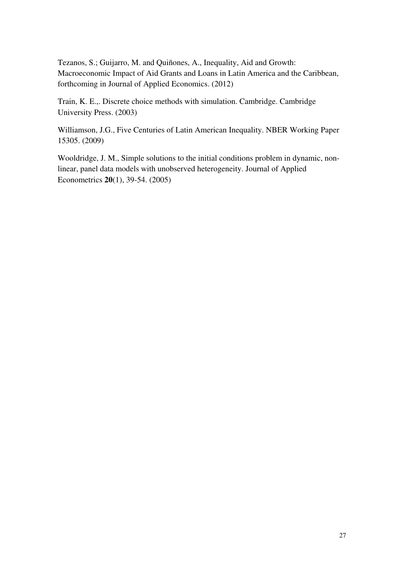Tezanos, S.; Guijarro, M. and Quiñones, A., Inequality, Aid and Growth: Macroeconomic Impact of Aid Grants and Loans in Latin America and the Caribbean, forthcoming in Journal of Applied Economics. (2012)

Train, K. E.,. Discrete choice methods with simulation. Cambridge. Cambridge University Press. (2003)

Williamson, J.G., Five Centuries of Latin American Inequality. NBER Working Paper 15305. (2009)

Wooldridge, J. M., Simple solutions to the initial conditions problem in dynamic, nonlinear, panel data models with unobserved heterogeneity. Journal of Applied Econometrics **20**(1), 39-54. (2005)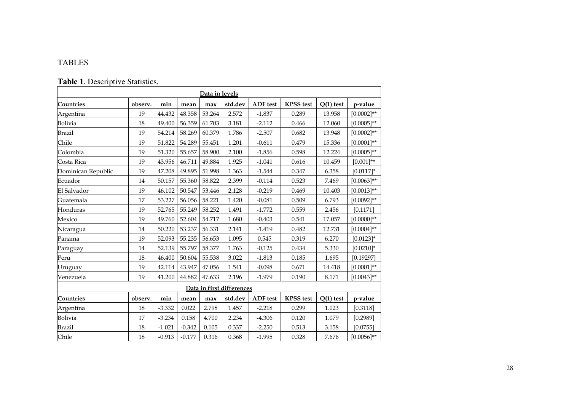### TABLES

## **Table 1**. Descriptive Statistics.

| Data in levels     |         |          |          |        |                           |                 |                  |             |                 |  |  |
|--------------------|---------|----------|----------|--------|---------------------------|-----------------|------------------|-------------|-----------------|--|--|
| Countries          | observ. | min      | mean     | max    | std.dev                   | <b>ADF</b> test | <b>KPSS</b> test | $Q(1)$ test | p-value         |  |  |
| Argentina          | 19      | 44.432   | 48.358   | 53.264 | 2.572                     | $-1.837$        | 0.289            | 13.958      | $[0.0002]^{**}$ |  |  |
| Bolivia            | 18      | 49.400   | 56.359   | 61.703 | 3.181                     | $-2.112$        | 0.466            | 12.060      | $[0.0005]$ **   |  |  |
| <b>Brazil</b>      | 19      | 54.214   | 58.269   | 60.379 | 1.786                     | $-2.507$        | 0.682            | 13.948      | $[0.0002]^{**}$ |  |  |
| Chile              | 19      | 51.822   | 54.289   | 55.451 | 1.201                     | $-0.611$        | 0.479            | 15.336      | $[0.0001]**$    |  |  |
| Colombia           | 19      | 51.320   | 55.657   | 58.900 | 2.100                     | $-1.856$        | 0.598            | 12.224      | $[0.0005]^{**}$ |  |  |
| Costa Rica         | 19      | 43.956   | 46.711   | 49.884 | 1.925                     | $-1.041$        | 0.616            | 10.459      | $[0.001]^{**}$  |  |  |
| Dominican Republic | 19      | 47.208   | 49.895   | 51.998 | 1.363                     | $-1.544$        | 0.347            | 6.358       | $[0.0117]$ *    |  |  |
| Ecuador            | 14      | 50.157   | 55.360   | 58.822 | 2.399                     | $-0.114$        | 0.523            | 7.469       | $[0.0063]$ **   |  |  |
| El Salvador        | 19      | 46.102   | 50.547   | 53.446 | 2.128                     | $-0.219$        | 0.469            | 10.403      | $[0.0013]^{**}$ |  |  |
| Guatemala          | 17      | 53.227   | 56.056   | 58.221 | 1.420                     | $-0.081$        | 0.509            | 6.793       | $[0.0092]^{**}$ |  |  |
| Honduras           | 19      | 52.765   | 55.249   | 58.252 | 1.491                     | $-1.772$        | 0.559            | 2.456       | [0.1171]        |  |  |
| Mexico             | 19      | 49.760   | 52.604   | 54.717 | 1.680                     | $-0.403$        | 0.541            | 17.057      | $[0.0000]^{**}$ |  |  |
| Nicaragua          | 14      | 50.220   | 53.237   | 56.331 | 2.141                     | $-1.419$        | 0.482            | 12.731      | $[0.0004]^{**}$ |  |  |
| Panama             | 19      | 52.093   | 55.235   | 56.653 | 1.095                     | 0.545           | 0.319            | 6.270       | $[0.0123]$ *    |  |  |
| Paraguay           | $14\,$  | 52.139   | 55.797   | 58.377 | 1.763                     | $-0.125$        | 0.434            | 5.330       | $[0.0210]$ *    |  |  |
| Peru               | 18      | 46.400   | 50.604   | 55.538 | 3.022                     | $-1.813$        | 0.185            | 1.695       | [0.19297]       |  |  |
| Uruguay            | 19      | 42.114   | 43.947   | 47.056 | 1.541                     | $-0.098$        | 0.671            | 14.418      | $[0.0001]$ **   |  |  |
| Venezuela          | 19      | 41.200   | 44.882   | 47.633 | 2.196                     | $-1.979$        | 0.190            | 8.171       | $[0.0043]$ **   |  |  |
|                    |         |          |          |        | Data in first differences |                 |                  |             |                 |  |  |
| <b>Countries</b>   | observ. | min      | mean     | max    | std.dev                   | <b>ADF</b> test | <b>KPSS</b> test | $Q(1)$ test | p-value         |  |  |
| Argentina          | 18      | $-3.332$ | 0.022    | 2.798  | 1.457                     | $-2.218$        | 0.299            | 1.023       | [0.3118]        |  |  |
| Bolivia            | 17      | $-3.234$ | 0.158    | 4.700  | 2.234                     | $-4.306$        | 0.120            | 1.079       | [0.2989]        |  |  |
| <b>Brazil</b>      | 18      | $-1.021$ | $-0.342$ | 0.105  | 0.337                     | $-2.250$        | 0.513            | 3.158       | [0.0755]        |  |  |
| Chile              | 18      | $-0.913$ | $-0.177$ | 0.316  | 0.368                     | $-1.995$        | 0.328            | 7.676       | $[0.0056]^{**}$ |  |  |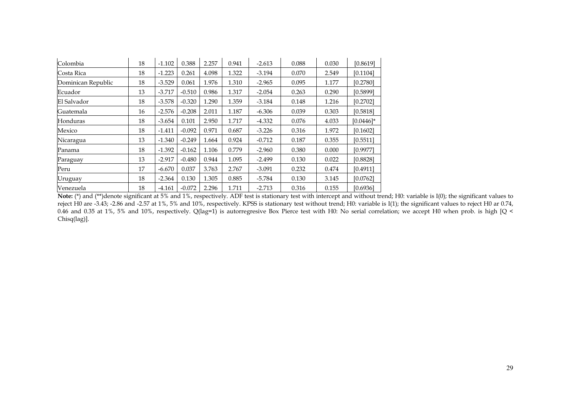| Colombia           | 18 | $-1.102$ | 0.388    | 2.257 | 0.941 | $-2.613$ | 0.088 | 0.030 | [0.8619]     |
|--------------------|----|----------|----------|-------|-------|----------|-------|-------|--------------|
|                    |    |          |          |       |       |          |       |       |              |
| Costa Rica         | 18 | $-1.223$ | 0.261    | 4.098 | 1.322 | $-3.194$ | 0.070 | 2.549 | [0.1104]     |
| Dominican Republic | 18 | $-3.529$ | 0.061    | 1.976 | 1.310 | $-2.965$ | 0.095 | 1.177 | [0.2780]     |
| Ecuador            | 13 | $-3.717$ | $-0.510$ | 0.986 | 1.317 | $-2.054$ | 0.263 | 0.290 | [0.5899]     |
| El Salvador        | 18 | $-3.578$ | $-0.320$ | 1.290 | 1.359 | $-3.184$ | 0.148 | 1.216 | [0.2702]     |
| Guatemala          | 16 | $-2.576$ | $-0.208$ | 2.011 | 1.187 | $-6.306$ | 0.039 | 0.303 | [0.5818]     |
| Honduras           | 18 | $-3.654$ | 0.101    | 2.950 | 1.717 | $-4.332$ | 0.076 | 4.033 | $[0.0446]$ * |
| Mexico             | 18 | $-1.411$ | $-0.092$ | 0.971 | 0.687 | $-3.226$ | 0.316 | 1.972 | [0.1602]     |
| Nicaragua          | 13 | $-1.340$ | $-0.249$ | 1.664 | 0.924 | $-0.712$ | 0.187 | 0.355 | [0.5511]     |
| Panama             | 18 | $-1.392$ | $-0.162$ | 1.106 | 0.779 | $-2.960$ | 0.380 | 0.000 | [0.9977]     |
| Paraguay           | 13 | $-2.917$ | $-0.480$ | 0.944 | 1.095 | $-2.499$ | 0.130 | 0.022 | [0.8828]     |
| Peru               | 17 | $-6.670$ | 0.037    | 3.763 | 2.767 | $-3.091$ | 0.232 | 0.474 | [0.4911]     |
| Uruguay            | 18 | $-2.364$ | 0.130    | 1.305 | 0.885 | $-5.784$ | 0.130 | 3.145 | [0.0762]     |
| Venezuela          | 18 | $-4.161$ | $-0.072$ | 2.296 | 1.711 | $-2.713$ | 0.316 | 0.155 | [0.6936]     |

**Note:** (\*) and (\*\*)denote significant at 5% and 1%, respectively. ADF test is stationary test with intercept and without trend; H0: variable is I(0); the significant values to reject H0 are -3.43; -2.86 and -2.57 at 1%, 5% and 10%, respectively. KPSS is stationary test without trend; H0: variable is I(1); the significant values to reject H0 ar 0.74, 0.46 and 0.35 at 1%, 5% and 10%, respectively. Q(lag=1) is autorregresive Box Pierce test with H0: No serial correlation; we accept H0 when prob. is high [Q < Chisq(lag)].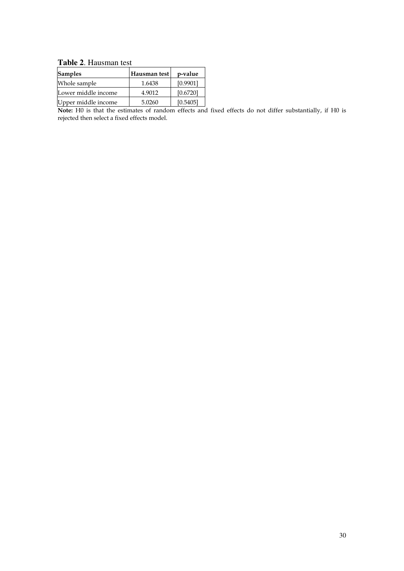**Table 2**. Hausman test

| <b>Samples</b>      | Hausman test | p-value  |
|---------------------|--------------|----------|
| Whole sample        | 1.6438       | [0.9901] |
| Lower middle income | 4.9012       | [0.6720] |
| Upper middle income | 5.0260       | [0.5405] |

**Note:** H0 is that the estimates of random effects and fixed effects do not differ substantially, if H0 is rejected then select a fixed effects model.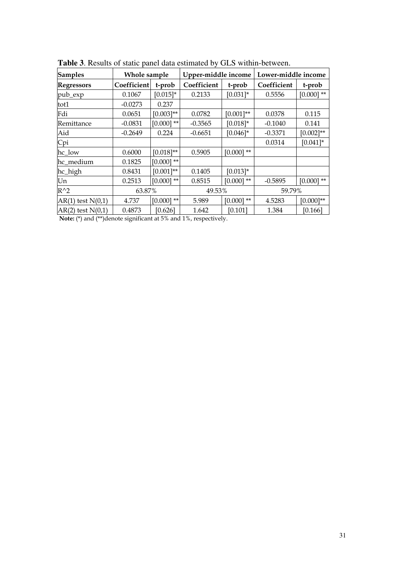| <b>Samples</b>        | Whole sample |                | Upper-middle income           |              |             |              |  | Lower-middle income |  |  |
|-----------------------|--------------|----------------|-------------------------------|--------------|-------------|--------------|--|---------------------|--|--|
| <b>Regressors</b>     | Coefficient  | t-prob         | Coefficient                   | t-prob       | Coefficient | t-prob       |  |                     |  |  |
| pub_exp               | 0.1067       | $[0.015]$ *    | 0.2133                        | $[0.031]$ *  | 0.5556      | $[0.000]$ ** |  |                     |  |  |
| tot1                  | $-0.0273$    | 0.237          |                               |              |             |              |  |                     |  |  |
| Fdi                   | 0.0651       | $[0.003]$ **   | 0.0782                        | $[0.001]**$  | 0.0378      | 0.115        |  |                     |  |  |
| Remittance            | $-0.0831$    | $[0.000]$ **   | $-0.3565$                     | $[0.018]*$   | $-0.1040$   | 0.141        |  |                     |  |  |
| Aid                   | $-0.2649$    | 0.224          | $-0.6651$                     | $[0.046]$ *  | $-0.3371$   | $[0.002]$ ** |  |                     |  |  |
| Cpi                   |              |                |                               |              | 0.0314      | $[0.041]$ *  |  |                     |  |  |
| hc_low                | 0.6000       | $[0.018]^{**}$ | 0.5905                        | $[0.000]$ ** |             |              |  |                     |  |  |
| hc_medium             | 0.1825       | $[0.000]$ **   |                               |              |             |              |  |                     |  |  |
| hc_high               | 0.8431       | $[0.001]$ **   | 0.1405                        | $[0.013]*$   |             |              |  |                     |  |  |
| Un                    | 0.2513       | $[0.000]$ **   | 0.8515                        | $[0.000]$ ** | $-0.5895$   | $[0.000]$ ** |  |                     |  |  |
| $R^{\wedge}2$         | 63.87%       |                | 49.53%                        |              | 59.79%      |              |  |                     |  |  |
| $AR(1)$ test $N(0,1)$ | 4.737        | $[0.000]$ **   | 5.989                         | $[0.000]$ ** | 4.5283      | $[0.000]$ ** |  |                     |  |  |
| $AR(2)$ test $N(0,1)$ | 0.4873       | [0.626]        | 1.642<br>$\sim$ $\sim$ $\sim$ | [0.101]      | 1.384       | [0.166]      |  |                     |  |  |

**Table 3**. Results of static panel data estimated by GLS within-between.

**Note:** (\*) and (\*\*)denote significant at 5% and 1%, respectively.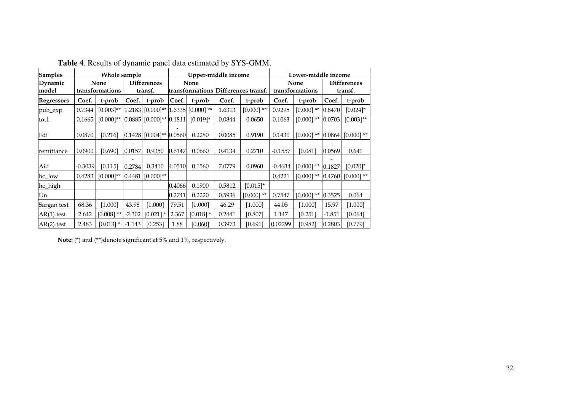| <b>Samples</b>    |           | Whole sample            |          |                                       |        | Upper-middle income                      |        |                                     |                         | Lower-middle income |                               |                |
|-------------------|-----------|-------------------------|----------|---------------------------------------|--------|------------------------------------------|--------|-------------------------------------|-------------------------|---------------------|-------------------------------|----------------|
| Dynamic<br>model  |           | None<br>transformations |          | <b>Differences</b><br>transf.         |        | None                                     |        | transformations Differences transf. | None<br>transformations |                     | <b>Differences</b><br>transf. |                |
| <b>Regressors</b> | Coef.     | t-prob                  | Coef.    | t-prob                                | Coef.  | t-prob                                   | Coef.  | t-prob                              | Coef.                   | t-prob              | Coef.                         | t-prob         |
| pub_exp           | 0.7344    | $[0.003]^{**}$          |          |                                       |        | $1.2183$ [0.000]** $ 1.6335 $ [0.000] ** | 1.6313 | $[0.000]$ **                        | 0.9295                  | $[0.000]$ **        | 0.8470                        | $[0.024]$ *    |
| tot1              | 0.1665    | $[0.000]$ **            |          | $0.0885$ [0.000]** 0.1811             |        | $[0.019]$ *                              | 0.0844 | 0.0650                              | 0.1063                  | $[0.000]$ **        | 0.0703                        | $[0.003]^{**}$ |
| Fdi               | 0.0870    | [0.216]                 |          | $0.1428$ [0.004] <sup>**</sup> 0.0560 |        | 0.2280                                   | 0.0085 | 0.9190                              | 0.1430                  | $[0.000]$ **        | 0.0864                        | $[0.000]$ **   |
| remittance        | 0.0900    | [0.690]                 | 0.0157   | 0.9350                                | 0.6147 | 0.0660                                   | 0.4134 | 0.2710                              | $-0.1557$               | [0.081]             | 0.0569                        | 0.641          |
| Aid               | $-0.3039$ | [0.115]                 | 0.2784   | 0.3410                                | 4.0510 | 0.1560                                   | 7.0779 | 0.0960                              | $-0.4634$               | $[0.000]$ **        | 0.1827                        | $[0.020]$ *    |
| hc_low            | 0.4283    | $[0.000]$ **            | 0.4481   | $[0.000]^{**}$                        |        |                                          |        |                                     | 0.4221                  | $[0.000]$ **        | 0.4760                        | $[0.000]$ **   |
| hc_high           |           |                         |          |                                       | 0.4066 | 0.1900                                   | 0.5812 | $[0.015]$ *                         |                         |                     |                               |                |
| Un                |           |                         |          |                                       | 0.2741 | 0.2220                                   | 0.5936 | $[0.000]$ **                        | 0.7547                  | $[0.000]$ **        | 0.3525                        | 0.064          |
| Sargan test       | 68.36     | [1.000]                 | 43.98    | [1.000]                               | 79.51  | [1.000]                                  | 46.29  | [1.000]                             | 44.05                   | [1.000]             | 15.97                         | [1.000]        |
| $AR(1)$ test      | 2.642     | $[0.008]$ **            | $-2.302$ | $[0.021]$ *                           | 2.367  | $[0.018]$ *                              | 0.2441 | [0.807]                             | 1.147                   | [0.251]             | $-1.851$                      | $[0.064]$      |
| $AR(2)$ test      | 2.483     | $[0.013]$ *             | $-1.143$ | [0.253]                               | 1.88   | [0.060]                                  | 0.3973 | [0.691]                             | 0.02299                 | [0.982]             | 0.2803                        | [0.779]        |

**Table 4**. Results of dynamic panel data estimated by SYS-GMM.

**Note:** (\*) and (\*\*)denote significant at 5% and 1%, respectively.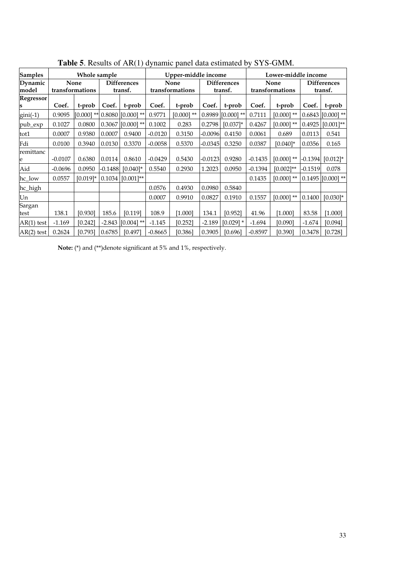| <b>Samples</b>   |           | Whole sample            |           |                               |           | Upper-middle income     |           |                               |                         | Lower-middle income |                               |                     |
|------------------|-----------|-------------------------|-----------|-------------------------------|-----------|-------------------------|-----------|-------------------------------|-------------------------|---------------------|-------------------------------|---------------------|
| Dynamic<br>model |           | None<br>transformations |           | <b>Differences</b><br>transf. |           | None<br>transformations |           | <b>Differences</b><br>transf. | None<br>transformations |                     | <b>Differences</b><br>transf. |                     |
| <b>Regressor</b> | Coef.     | t-prob                  | Coef.     | t-prob                        | Coef.     | t-prob                  | Coef.     | t-prob                        | Coef.                   | t-prob              | Coef.                         | t-prob              |
| $gini(-1)$       | 0.9095    | $[0.000]$ **            |           | $0.8080$ [ $0.000$ ] **       | 0.9771    | $[0.000]$ **            |           | $0.8989$ [0.000] **           | 0.7111                  | $[0.000]$ **        |                               | $0.6843$ [0.000] ** |
| pub_exp          | 0.1027    | 0.0800                  |           | $0.3067$ [0.000] **           | 0.1002    | 0.283                   | 0.2798    | $[0.037]$ *                   | 0.4267                  | $[0.000]$ **        | 0.4925                        | $[0.001]$ **        |
| tot1             | 0.0007    | 0.9380                  | 0.0007    | 0.9400                        | $-0.0120$ | 0.3150                  | -0.0096   | 0.4150                        | 0.0061                  | 0.689               | 0.0113                        | 0.541               |
| Fdi              | 0.0100    | 0.3940                  | 0.0130    | 0.3370                        | $-0.0058$ | 0.5370                  | $-0.0345$ | 0.3250                        | 0.0387                  | $[0.040]$ *         | 0.0356                        | 0.165               |
| remittanc        | $-0.0107$ | 0.6380                  | 0.0114    | 0.8610                        | $-0.0429$ | 0.5430                  | -0.0123   | 0.9280                        | $-0.1435$               | $[0.000]$ **        | $-0.1394$                     | $[0.012]$ *         |
| Aid              | $-0.0696$ | 0.0950                  | $-0.1488$ | $[0.040]$ *                   | 0.5540    | 0.2930                  | 1.2023    | 0.0950                        | $-0.1394$               | $[0.002]^{**}$      | $-0.1519$                     | 0.078               |
| hc_low           | 0.0557    | $[0.019]*$              | 0.1034    | $[0.001]$ **                  |           |                         |           |                               | 0.1435                  | $[0.000]$ **        |                               | $0.1495$ [0.000] ** |
| hc_high          |           |                         |           |                               | 0.0576    | 0.4930                  | 0.0980    | 0.5840                        |                         |                     |                               |                     |
| Un               |           |                         |           |                               | 0.0007    | 0.9910                  | 0.0827    | 0.1910                        | 0.1557                  | $[0.000]$ **        | 0.1400                        | $[0.030]$ *         |
| Sargan<br>test   | 138.1     | [0.930]                 | 185.6     | [0.119]                       | 108.9     | [1.000]                 | 134.1     | [0.952]                       | 41.96                   | [1.000]             | 83.58                         | [1.000]             |
| $AR(1)$ test     | $-1.169$  | [0.242]                 |           | $-2.843$ [0.004] **           | $-1.145$  | [0.252]                 | $-2.189$  | $[0.029]$ *                   | $-1.694$                | [0.090]             | $-1.674$                      | [0.094]             |
| $AR(2)$ test     | 0.2624    | [0.793]                 | 0.6785    | [0.497]                       | $-0.8665$ | [0.386]                 | 0.3905    | [0.696]                       | $-0.8597$               | [0.390]             | 0.3478                        | [0.728]             |

**Table 5**. Results of AR(1) dynamic panel data estimated by SYS-GMM.

**Note:** (\*) and (\*\*)denote significant at 5% and 1%, respectively.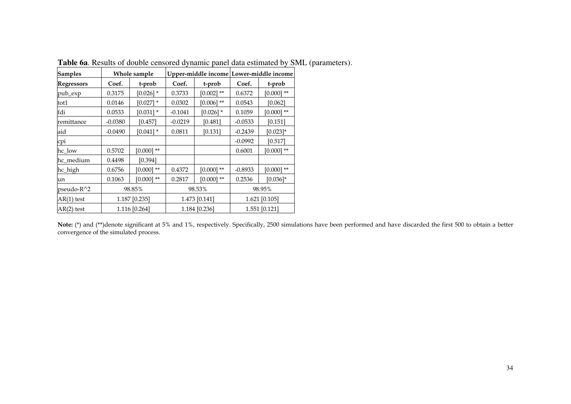| <b>Samples</b>    |           | Whole sample              |           | Upper-middle income Lower-middle income |               |               |  |
|-------------------|-----------|---------------------------|-----------|-----------------------------------------|---------------|---------------|--|
| <b>Regressors</b> | Coef.     | Coef.<br>t-prob<br>t-prob |           |                                         | Coef.         | t-prob        |  |
| pub_exp           | 0.3175    | $[0.026]$ *               | 0.3733    | $[0.002]$ **                            | 0.6372        | $[0.000]$ **  |  |
| tot1              | 0.0146    | $[0.027]$ *               | 0.0302    | $[0.006]$ **                            | 0.0543        | [0.062]       |  |
| fdi               | 0.0533    | $[0.031]$ *               | $-0.1041$ | $[0.026]$ *                             | 0.1059        | $[0.000]$ **  |  |
| remittance        | $-0.0380$ | [0.457]                   | $-0.0219$ | [0.481]                                 | $-0.0533$     | [0.151]       |  |
| aid               | $-0.0490$ | $[0.041]$ *               | 0.0811    | [0.131]                                 | $-0.2439$     | $[0.023]$ *   |  |
| cpi               |           |                           |           |                                         | $-0.0992$     | [0.517]       |  |
| hc_low            | 0.5702    | $[0.000]$ **              |           |                                         | 0.6001        | $[0.000]$ **  |  |
| hc_medium         | 0.4498    | [0.394]                   |           |                                         |               |               |  |
| hc_high           | 0.6756    | $[0.000]$ **              | 0.4372    | $[0.000]$ **                            | $-0.8933$     | $[0.000]$ **  |  |
| un                | 0.1063    | $[0.000]$ **              | 0.2817    | $[0.000]$ **                            | 0.2536        | $[0.036]$ *   |  |
| pseudo-R^2        |           | 98.85%                    |           | 98.53%                                  | 98.95%        |               |  |
| $AR(1)$ test      |           | 1.187 [0.235]             |           | 1.473 [0.141]                           | 1.621 [0.105] |               |  |
| $AR(2)$ test      |           | 1.116 [0.264]             |           | 1.184 [0.236]                           |               | 1.551 [0.121] |  |

**Table 6a**. Results of double censored dynamic panel data estimated by SML (parameters).

**Note:** (\*) and (\*\*)denote significant at 5% and 1%, respectively. Specifically, 2500 simulations have been performed and have discarded the first 500 to obtain a better convergence of the simulated process.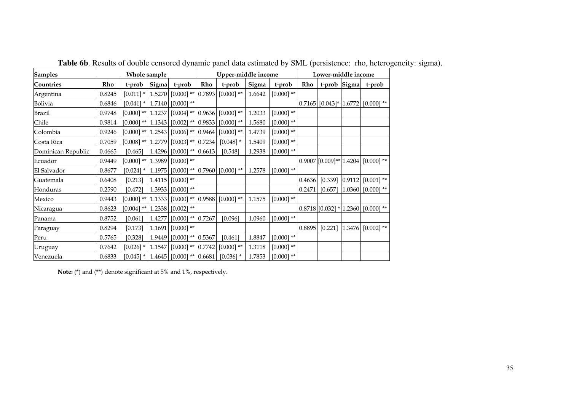| <b>Samples</b>     |        | Whole sample            |        |                                                              |     | Upper-middle income                                             |        |              | Lower-middle income |                           |        |                                         |
|--------------------|--------|-------------------------|--------|--------------------------------------------------------------|-----|-----------------------------------------------------------------|--------|--------------|---------------------|---------------------------|--------|-----------------------------------------|
| Countries          | Rho    | t-prob                  | Sigma  | t-prob                                                       | Rho | t-prob                                                          | Sigma  | t-prob       | Rho                 | t-prob Sigma              |        | t-prob                                  |
| Argentina          | 0.8245 | $[0.011]$ *             |        |                                                              |     | $\vert 1.5270 \vert$ [0.000] ** $\vert 0.7893 \vert$ [0.000] ** | 1.6642 | $[0.000]$ ** |                     |                           |        |                                         |
| Bolivia            | 0.6846 | $[0.041]$ *             |        | $1.7140$ [0.000] **                                          |     |                                                                 |        |              |                     |                           |        | $0.7165$ [0.043]* $ 1.6772 $ [0.000] ** |
| <b>Brazil</b>      | 0.9748 | $[0.000]$ ** 1.1237     |        |                                                              |     | $[0.004]$ ** $[0.9636]$ $[0.000]$ **                            | 1.2033 | $[0.000]$ ** |                     |                           |        |                                         |
| Chile              | 0.9814 |                         |        | $[0.000]$ ** $ 1.1343 $ $[0.002]$ ** $ 0.9833 $              |     | $[0.000]$ **                                                    | 1.5680 | $[0.000]$ ** |                     |                           |        |                                         |
| Colombia           | 0.9246 |                         |        | $[0.000]$ ** $ 1.2543 $ $[0.006]$ ** $ 0.9464 $ $[0.000]$ ** |     |                                                                 | 1.4739 | $[0.000]$ ** |                     |                           |        |                                         |
| Costa Rica         | 0.7059 |                         |        | $[0.008]$ ** $[1.2779]$ $[0.003]$ ** $[0.7234]$              |     | $[0.048]$ *                                                     | 1.5409 | $[0.000]$ ** |                     |                           |        |                                         |
| Dominican Republic | 0.4665 | [0.465]                 | 1.4296 | $[0.000]$ ** 0.6613                                          |     | [0.548]                                                         | 1.2938 | $[0.000]$ ** |                     |                           |        |                                         |
| Ecuador            | 0.9449 | $[0.000]$ ** $ 1.3989 $ |        | $[0.000]$ **                                                 |     |                                                                 |        |              |                     | $0.9007$ [0.009]** 1.4204 |        | $[0.000]$ **                            |
| El Salvador        | 0.8677 | $[0.024]$ *             | 1.1975 |                                                              |     | $[0.000]$ ** $[0.7960]$ $[0.000]$ **                            | 1.2578 | $[0.000]$ ** |                     |                           |        |                                         |
| Guatemala          | 0.6408 | [0.213]                 | 1.4115 | $[0.000]$ **                                                 |     |                                                                 |        |              | 0.4636              | [0.339]                   | 0.9112 | $[0.001]$ **                            |
| Honduras           | 0.2590 | $[0.472]$               | 1.3933 | $[0.000]$ **                                                 |     |                                                                 |        |              | 0.2471              |                           |        | $[0.657]$ $[1.0360]$ $[0.000]$ **       |
| Mexico             | 0.9443 |                         |        | $[0.000]$ ** $[1.1333]$ $[0.000]$ ** $[0.9588]$ $[0.000]$ ** |     |                                                                 | 1.1575 | $[0.000]$ ** |                     |                           |        |                                         |
| Nicaragua          | 0.8623 |                         |        | $[0.004]$ ** $[1.2338]$ $[0.002]$ **                         |     |                                                                 |        |              |                     | $0.8718$ [0.032] * 1.2360 |        | $[0.000]$ **                            |
| Panama             | 0.8752 | [0.061]                 | 1.4277 | $[0.000]$ ** 0.7267                                          |     | [0.096]                                                         | 1.0960 | $[0.000]$ ** |                     |                           |        |                                         |
| Paraguay           | 0.8294 | [0.173]                 | 1.1691 | $[0.000]$ **                                                 |     |                                                                 |        |              | 0.8895              | $[0.221]$   1.3476        |        | $[0.002]$ **                            |
| Peru               | 0.5765 | [0.328]                 | 1.9449 | $[0.000]$ ** 0.5367                                          |     | [0.461]                                                         | 1.8847 | $[0.000]$ ** |                     |                           |        |                                         |
| Uruguay            | 0.7642 | $[0.026]$ *             | 1.1547 | $[0.000]$ ** $ 0.7742 $                                      |     | $[0.000]$ **                                                    | 1.3118 | $[0.000]$ ** |                     |                           |        |                                         |
| Venezuela          | 0.6833 | $[0.045]$ *             |        | $\vert 1.4645 \vert$ [0.000] ** $\vert 0.6681 \vert$         |     | $[0.036]$ *                                                     | 1.7853 | $[0.000]$ ** |                     |                           |        |                                         |

**Table 6b**. Results of double censored dynamic panel data estimated by SML (persistence: rho, heterogeneity: sigma).

**Note:** (\*) and (\*\*) denote significant at 5% and 1%, respectively.

**T**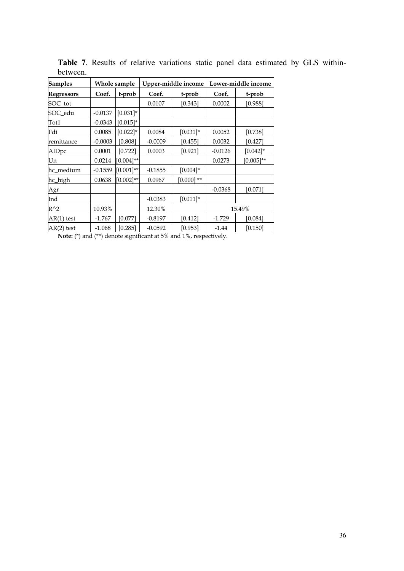| <b>Samples</b>    |           | Whole sample   |           | Upper-middle income | Lower-middle income |                |  |
|-------------------|-----------|----------------|-----------|---------------------|---------------------|----------------|--|
| <b>Regressors</b> | Coef.     | t-prob         | Coef.     | t-prob              | Coef.               | t-prob         |  |
| SOC_tot           |           |                | 0.0107    | [0.343]             | 0.0002              | [0.988]        |  |
| SOC_edu           | $-0.0137$ | $[0.031]$ *    |           |                     |                     |                |  |
| Tot1              | $-0.0343$ | $[0.015]$ *    |           |                     |                     |                |  |
| Fdi               | 0.0085    | $[0.022]$ *    | 0.0084    | $[0.031]$ *         | 0.0052              | [0.738]        |  |
| remittance        | $-0.0003$ | [0.808]        | $-0.0009$ | [0.455]             | 0.0032              | [0.427]        |  |
| AIDpc             | 0.0001    | [0.722]        | 0.0003    | [0.921]             | $-0.0126$           | $[0.042]$ *    |  |
| Un                | 0.0214    | $[0.004]^{**}$ |           |                     | 0.0273              | $[0.005]^{**}$ |  |
| hc_medium         | $-0.1559$ | $[0.001]**$    | $-0.1855$ | $[0.004]*$          |                     |                |  |
| hc_high           | 0.0638    | $[0.002]^{**}$ | 0.0967    | $[0.000]$ **        |                     |                |  |
| Agr               |           |                |           |                     | $-0.0368$           | [0.071]        |  |
| Ind               |           |                | $-0.0383$ | $[0.011]$ *         |                     |                |  |
| $R^{\wedge}2$     | 10.93%    |                | 12.30%    |                     | 15.49%              |                |  |
| $AR(1)$ test      | $-1.767$  | [0.077]        | $-0.8197$ | $[0.412]$           | $-1.729$            | [0.084]        |  |
| $AR(2)$ test      | $-1.068$  | [0.285]        | $-0.0592$ | [0.953]             | $-1.44$             | [0.150]        |  |

**Table 7**. Results of relative variations static panel data estimated by GLS withinbetween.

**Note:** (\*) and (\*\*) denote significant at 5% and 1%, respectively.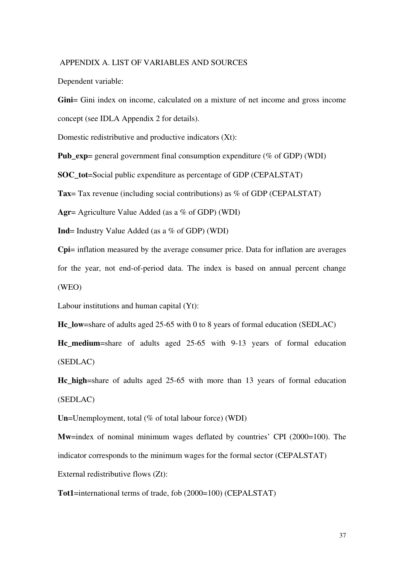#### APPENDIX A. LIST OF VARIABLES AND SOURCES

Dependent variable:

**Gini**= Gini index on income, calculated on a mixture of net income and gross income concept (see IDLA Appendix 2 for details).

Domestic redistributive and productive indicators (Xt):

**Pub\_exp**= general government final consumption expenditure (% of GDP) (WDI)

**SOC** tot=Social public expenditure as percentage of GDP (CEPALSTAT)

**Tax**= Tax revenue (including social contributions) as % of GDP (CEPALSTAT)

**Agr**= Agriculture Value Added (as a % of GDP) (WDI)

**Ind**= Industry Value Added (as a % of GDP) (WDI)

**Cpi**= inflation measured by the average consumer price. Data for inflation are averages for the year, not end-of-period data. The index is based on annual percent change (WEO)

Labour institutions and human capital (Yt):

**Hc\_low**=share of adults aged 25-65 with 0 to 8 years of formal education (SEDLAC)

**Hc** medium=share of adults aged 25-65 with 9-13 years of formal education (SEDLAC)

**Hc\_high**=share of adults aged 25-65 with more than 13 years of formal education (SEDLAC)

**Un**=Unemployment, total (% of total labour force) (WDI)

**Mw=index** of nominal minimum wages deflated by countries' CPI (2000=100). The indicator corresponds to the minimum wages for the formal sector (CEPALSTAT)

External redistributive flows (Zt):

**Tot1**=international terms of trade, fob (2000=100) (CEPALSTAT)